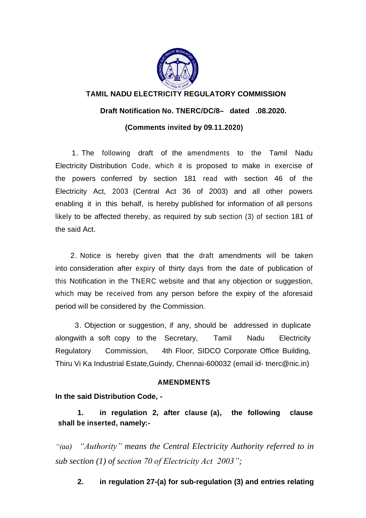

# **TAMIL NADU ELECTRICITY REGULATORY COMMISSION**

## **Draft Notification No. TNERC/DC/8– dated .08.2020.**

## **(Comments invited by 09.11.2020)**

1. The following draft of the amendments to the Tamil Nadu Electricity Distribution Code, which it is proposed to make in exercise of the powers conferred by section 181 read with section 46 of the Electricity Act, 2003 (Central Act 36 of 2003) and all other powers enabling it in this behalf, is hereby published for information of all persons likely to be affected thereby, as required by sub section (3) of section 181 of the said Act.

2. Notice is hereby given that the draft amendments will be taken into consideration after expiry of thirty days from the date of publication of this Notification in the TNERC website and that any objection or suggestion, which may be received from any person before the expiry of the aforesaid period will be considered by the Commission.

3. Objection or suggestion, if any, should be addressed in duplicate alongwith a soft copy to the Secretary, Tamil Nadu Electricity Regulatory Commission, 4th Floor, SIDCO Corporate Office Building, Thiru Vi Ka Industrial Estate,Guindy, Chennai-600032 (email id- tnerc@nic.in)

## **AMENDMENTS**

**In the said Distribution Code, -**

**1. in regulation 2, after clause (a), the following clause shall be inserted, namely:-**

*"(aa) "Authority" means the Central Electricity Authority referred to in sub section (1) of section 70 of Electricity Act 2003";*

**2. in regulation 27-(a) for sub-regulation (3) and entries relating**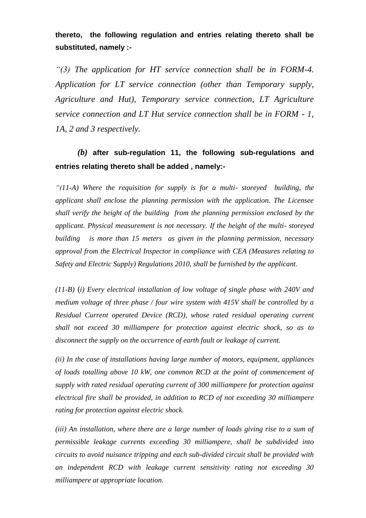**thereto, the following regulation and entries relating thereto shall be substituted, namely :-**

*"(3) The application for HT service connection shall be in FORM-4. Application for LT service connection (other than Temporary supply, Agriculture and Hut), Temporary service connection, LT Agriculture service connection and LT Hut service connection shall be in FORM - 1, 1A, 2 and 3 respectively.*

# *(b)* **after sub-regulation 11, the following sub-regulations and entries relating thereto shall be added , namely:-**

*"(11-A) Where the requisition for supply is for a multi- storeyed building, the applicant shall enclose the planning permission with the application. The Licensee shall verify the height of the building from the planning permission enclosed by the applicant. Physical measurement is not necessary. If the height of the multi- storeyed building is more than 15 meters as given in the planning permission, necessary approval from the Electrical Inspector in compliance with CEA (Measures relating to Safety and Electric Supply) Regulations 2010, shall be furnished by the applicant.*

*(11-B)* (*i) Every electrical installation of low voltage of single phase with 240V and medium voltage of three phase / four wire system with 415V shall be controlled by a Residual Current operated Device (RCD), whose rated residual operating current shall not exceed 30 milliampere for protection against electric shock, so as to disconnect the supply on the occurrence of earth fault or leakage of current.*

*(ii) In the case of installations having large number of motors, equipment, appliances of loads totalling above 10 kW, one common RCD at the point of commencement of supply with rated residual operating current of 300 milliampere for protection against electrical fire shall be provided, in addition to RCD of not exceeding 30 milliampere rating for protection against electric shock.*

*(iii) An installation, where there are a large number of loads giving rise to a sum of permissible leakage currents exceeding 30 milliampere, shall be subdivided into circuits to avoid nuisance tripping and each sub-divided circuit shall be provided with an independent RCD with leakage current sensitivity rating not exceeding 30 milliampere at appropriate location.*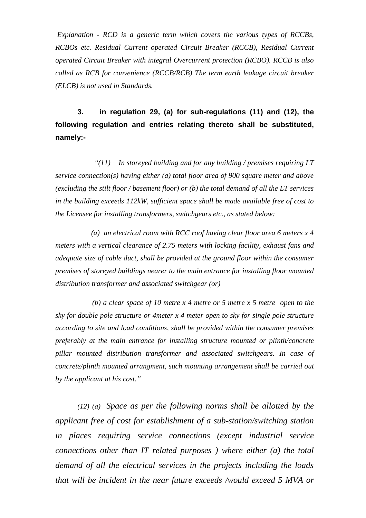*Explanation - RCD is a generic term which covers the various types of RCCBs, RCBOs etc. Residual Current operated Circuit Breaker (RCCB), Residual Current operated Circuit Breaker with integral Overcurrent protection (RCBO). RCCB is also called as RCB for convenience (RCCB/RCB) The term earth leakage circuit breaker (ELCB) is not used in Standards.* 

# **3. in regulation 29, (a) for sub-regulations (11) and (12), the following regulation and entries relating thereto shall be substituted, namely:-**

 *"(11) In storeyed building and for any building / premises requiring LT service connection(s) having either (a) total floor area of 900 square meter and above (excluding the stilt floor / basement floor) or (b) the total demand of all the LT services in the building exceeds 112kW, sufficient space shall be made available free of cost to the Licensee for installing transformers, switchgears etc., as stated below:*

 *(a) an electrical room with RCC roof having clear floor area 6 meters x 4 meters with a vertical clearance of 2.75 meters with locking facility, exhaust fans and adequate size of cable duct, shall be provided at the ground floor within the consumer premises of storeyed buildings nearer to the main entrance for installing floor mounted distribution transformer and associated switchgear (or)*

 *(b) a clear space of 10 metre x 4 metre or 5 metre x 5 metre open to the sky for double pole structure or 4meter x 4 meter open to sky for single pole structure according to site and load conditions, shall be provided within the consumer premises preferably at the main entrance for installing structure mounted or plinth/concrete pillar mounted distribution transformer and associated switchgears. In case of concrete/plinth mounted arrangment, such mounting arrangement shall be carried out by the applicant at his cost."*

*(12) (a) Space as per the following norms shall be allotted by the applicant free of cost for establishment of a sub-station/switching station in places requiring service connections (except industrial service connections other than IT related purposes ) where either (a) the total demand of all the electrical services in the projects including the loads that will be incident in the near future exceeds /would exceed 5 MVA or*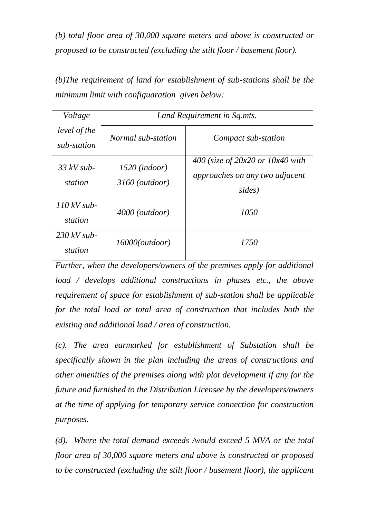*(b) total floor area of 30,000 square meters and above is constructed or proposed to be constructed (excluding the stilt floor / basement floor).* 

*(b)The requirement of land for establishment of sub-stations shall be the minimum limit with configuaration given below:* 

| Voltage                     | Land Requirement in Sq.mts.                  |                                                                                  |  |
|-----------------------------|----------------------------------------------|----------------------------------------------------------------------------------|--|
| level of the<br>sub-station | Normal sub-station                           | Compact sub-station                                                              |  |
| $33$ kV sub-<br>station     | $1520$ (indoor)<br>$3160$ ( <i>outdoor</i> ) | 400 (size of $20x20$ or $10x40$ with<br>approaches on any two adjacent<br>sides) |  |
| $110$ kV sub-<br>station    | $4000$ ( <i>outdoor</i> )                    | 1050                                                                             |  |
| $230$ kV sub-<br>station    | 16000(outdoor)                               | 1750                                                                             |  |

*Further, when the developers/owners of the premises apply for additional load / develops additional constructions in phases etc., the above requirement of space for establishment of sub-station shall be applicable for the total load or total area of construction that includes both the existing and additional load / area of construction.*

*(c). The area earmarked for establishment of Substation shall be specifically shown in the plan including the areas of constructions and other amenities of the premises along with plot development if any for the future and furnished to the Distribution Licensee by the developers/owners at the time of applying for temporary service connection for construction purposes.*

*(d). Where the total demand exceeds /would exceed 5 MVA or the total floor area of 30,000 square meters and above is constructed or proposed to be constructed (excluding the stilt floor / basement floor), the applicant*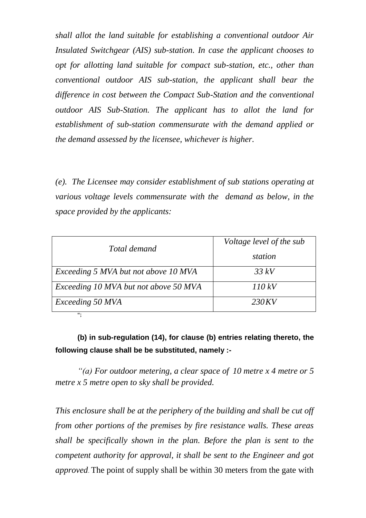*shall allot the land suitable for establishing a conventional outdoor Air Insulated Switchgear (AIS) sub-station. In case the applicant chooses to opt for allotting land suitable for compact sub-station, etc., other than conventional outdoor AIS sub-station, the applicant shall bear the difference in cost between the Compact Sub-Station and the conventional outdoor AIS Sub-Station. The applicant has to allot the land for establishment of sub-station commensurate with the demand applied or the demand assessed by the licensee, whichever is higher.*

*(e). The Licensee may consider establishment of sub stations operating at various voltage levels commensurate with the demand as below, in the space provided by the applicants:*

| Total demand                          | Voltage level of the sub<br>station |
|---------------------------------------|-------------------------------------|
| Exceeding 5 MVA but not above 10 MVA  | 33 kV                               |
| Exceeding 10 MVA but not above 50 MVA | 110 kV                              |
| Exceeding 50 MVA                      | 230KV                               |

**";**

# **(b) in sub-regulation (14), for clause (b) entries relating thereto, the following clause shall be be substituted, namely :-**

*"(a) For outdoor metering, a clear space of 10 metre x 4 metre or 5 metre x 5 metre open to sky shall be provided.*

*This enclosure shall be at the periphery of the building and shall be cut off from other portions of the premises by fire resistance walls. These areas shall be specifically shown in the plan. Before the plan is sent to the competent authority for approval, it shall be sent to the Engineer and got approved*. The point of supply shall be within 30 meters from the gate with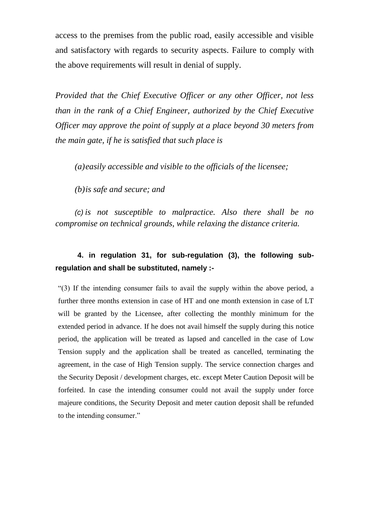access to the premises from the public road, easily accessible and visible and satisfactory with regards to security aspects. Failure to comply with the above requirements will result in denial of supply.

*Provided that the Chief Executive Officer or any other Officer, not less than in the rank of a Chief Engineer, authorized by the Chief Executive Officer may approve the point of supply at a place beyond 30 meters from the main gate, if he is satisfied that such place is* 

*(a)easily accessible and visible to the officials of the licensee;*

*(b)is safe and secure; and*

*(c) is not susceptible to malpractice. Also there shall be no compromise on technical grounds, while relaxing the distance criteria.* 

## **4. in regulation 31, for sub-regulation (3), the following subregulation and shall be substituted, namely :-**

"(3) If the intending consumer fails to avail the supply within the above period, a further three months extension in case of HT and one month extension in case of LT will be granted by the Licensee, after collecting the monthly minimum for the extended period in advance. If he does not avail himself the supply during this notice period, the application will be treated as lapsed and cancelled in the case of Low Tension supply and the application shall be treated as cancelled, terminating the agreement, in the case of High Tension supply. The service connection charges and the Security Deposit / development charges, etc. except Meter Caution Deposit will be forfeited. In case the intending consumer could not avail the supply under force majeure conditions, the Security Deposit and meter caution deposit shall be refunded to the intending consumer."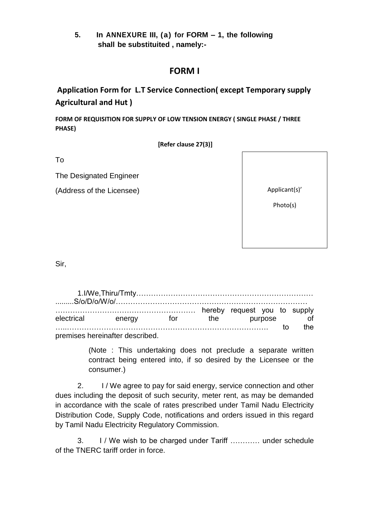**5. In ANNEXURE III, (a) for FORM – 1, the following shall be substituited , namely:-**

## **FORM I**

**Application Form for L.T Service Connection( except Temporary supply Agricultural and Hut )** 

**FORM OF REQUISITION FOR SUPPLY OF LOW TENSION ENERGY ( SINGLE PHASE / THREE PHASE)**

 **[Refer clause 27(3)]**

To

The Designated Engineer

(Address of the Licensee)

Applicant(s)'

Photo(s)

Sir,

| electrical                      | energy | for | <i>the</i> | purpose |      |
|---------------------------------|--------|-----|------------|---------|------|
|                                 |        |     |            |         | the. |
| premises hereinafter described. |        |     |            |         |      |

(Note : This undertaking does not preclude a separate written contract being entered into, if so desired by the Licensee or the consumer.)

2. I / We agree to pay for said energy, service connection and other dues including the deposit of such security, meter rent, as may be demanded in accordance with the scale of rates prescribed under Tamil Nadu Electricity Distribution Code, Supply Code, notifications and orders issued in this regard by Tamil Nadu Electricity Regulatory Commission.

3. I / We wish to be charged under Tariff ………… under schedule of the TNERC tariff order in force.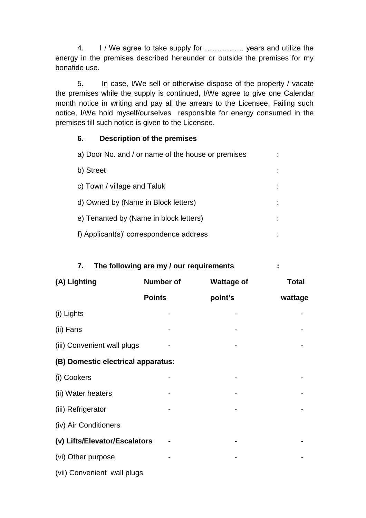4. I / We agree to take supply for ……………. years and utilize the energy in the premises described hereunder or outside the premises for my bonafide use.

5. In case, I/We sell or otherwise dispose of the property / vacate the premises while the supply is continued, I/We agree to give one Calendar month notice in writing and pay all the arrears to the Licensee. Failing such notice, I/We hold myself/ourselves responsible for energy consumed in the premises till such notice is given to the Licensee.

#### **6. Description of the premises**

| a) Door No. and / or name of the house or premises |  |
|----------------------------------------------------|--|
| b) Street                                          |  |
| c) Town / village and Taluk                        |  |
| d) Owned by (Name in Block letters)                |  |
| e) Tenanted by (Name in block letters)             |  |
| f) Applicant(s)' correspondence address            |  |

#### **7. The following are my / our requirements :**

| (A) Lighting                       | <b>Number of</b> | <b>Wattage of</b> | <b>Total</b> |
|------------------------------------|------------------|-------------------|--------------|
|                                    | <b>Points</b>    | point's           | wattage      |
| (i) Lights                         |                  |                   |              |
| (ii) Fans                          |                  |                   |              |
| (iii) Convenient wall plugs        |                  |                   |              |
| (B) Domestic electrical apparatus: |                  |                   |              |
| (i) Cookers                        |                  |                   |              |
| (ii) Water heaters                 |                  |                   |              |
| (iii) Refrigerator                 |                  |                   |              |
| (iv) Air Conditioners              |                  |                   |              |
| (v) Lifts/Elevator/Escalators      |                  |                   |              |
| (vi) Other purpose                 |                  |                   |              |
| (vii) Convenient wall plugs        |                  |                   |              |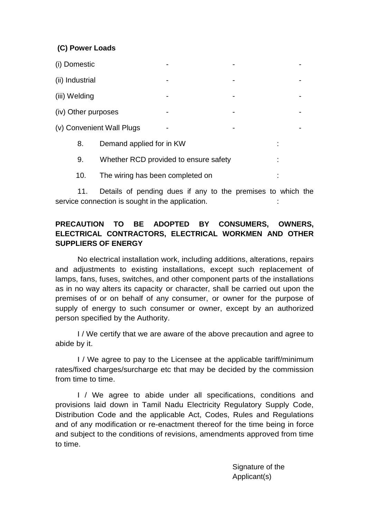## **(C) Power Loads**

| (i) Domestic        |                                       |  |  |
|---------------------|---------------------------------------|--|--|
| (ii) Industrial     |                                       |  |  |
| (iii) Welding       |                                       |  |  |
| (iv) Other purposes |                                       |  |  |
|                     | (v) Convenient Wall Plugs             |  |  |
| 8.                  | Demand applied for in KW              |  |  |
| 9.                  | Whether RCD provided to ensure safety |  |  |
|                     |                                       |  |  |

10. The wiring has been completed on :

11. Details of pending dues if any to the premises to which the service connection is sought in the application.

## **PRECAUTION TO BE ADOPTED BY CONSUMERS, OWNERS, ELECTRICAL CONTRACTORS, ELECTRICAL WORKMEN AND OTHER SUPPLIERS OF ENERGY**

No electrical installation work, including additions, alterations, repairs and adjustments to existing installations, except such replacement of lamps, fans, fuses, switches, and other component parts of the installations as in no way alters its capacity or character, shall be carried out upon the premises of or on behalf of any consumer, or owner for the purpose of supply of energy to such consumer or owner, except by an authorized person specified by the Authority.

I / We certify that we are aware of the above precaution and agree to abide by it.

I / We agree to pay to the Licensee at the applicable tariff/minimum rates/fixed charges/surcharge etc that may be decided by the commission from time to time.

I / We agree to abide under all specifications, conditions and provisions laid down in Tamil Nadu Electricity Regulatory Supply Code, Distribution Code and the applicable Act, Codes, Rules and Regulations and of any modification or re-enactment thereof for the time being in force and subject to the conditions of revisions, amendments approved from time to time.

> Signature of the Applicant(s)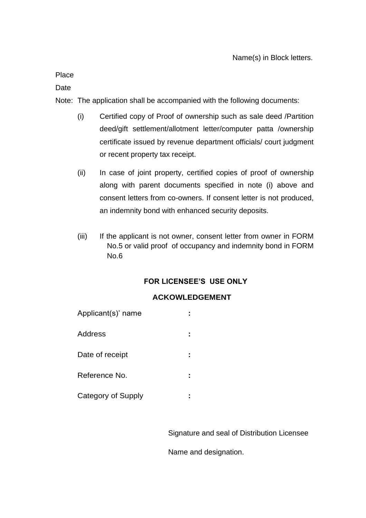#### Place

Date

Note: The application shall be accompanied with the following documents:

- (i) Certified copy of Proof of ownership such as sale deed /Partition deed/gift settlement/allotment letter/computer patta /ownership certificate issued by revenue department officials/ court judgment or recent property tax receipt.
- (ii) In case of joint property, certified copies of proof of ownership along with parent documents specified in note (i) above and consent letters from co-owners. If consent letter is not produced, an indemnity bond with enhanced security deposits.
- (iii) If the applicant is not owner, consent letter from owner in FORM No.5 or valid proof of occupancy and indemnity bond in FORM No.6

## **FOR LICENSEE'S USE ONLY**

#### **ACKOWLEDGEMENT**

| Applicant(s)' name |  |
|--------------------|--|
| Address            |  |
| Date of receipt    |  |
| Reference No.      |  |
| Category of Supply |  |

Signature and seal of Distribution Licensee

Name and designation.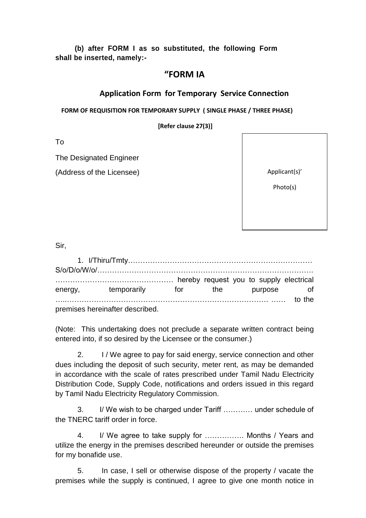#### **(b) after FORM I as so substituted, the following Form shall be inserted, namely:-**

## **"FORM IA**

## **Application Form for Temporary Service Connection**

**FORM OF REQUISITION FOR TEMPORARY SUPPLY ( SINGLE PHASE / THREE PHASE)**

 **[Refer clause 27(3)]**

To

The Designated Engineer

(Address of the Licensee)

Applicant(s)'

Photo(s)

Sir,

| energy,                         | temporarily | for | the |  | purpose |        |
|---------------------------------|-------------|-----|-----|--|---------|--------|
|                                 |             |     |     |  |         | to the |
| premises hereinafter described. |             |     |     |  |         |        |

(Note: This undertaking does not preclude a separate written contract being entered into, if so desired by the Licensee or the consumer.)

2. I / We agree to pay for said energy, service connection and other dues including the deposit of such security, meter rent, as may be demanded in accordance with the scale of rates prescribed under Tamil Nadu Electricity Distribution Code, Supply Code, notifications and orders issued in this regard by Tamil Nadu Electricity Regulatory Commission.

3. I/ We wish to be charged under Tariff ………… under schedule of the TNERC tariff order in force.

4. I/ We agree to take supply for ……………. Months / Years and utilize the energy in the premises described hereunder or outside the premises for my bonafide use.

5. In case, I sell or otherwise dispose of the property / vacate the premises while the supply is continued, I agree to give one month notice in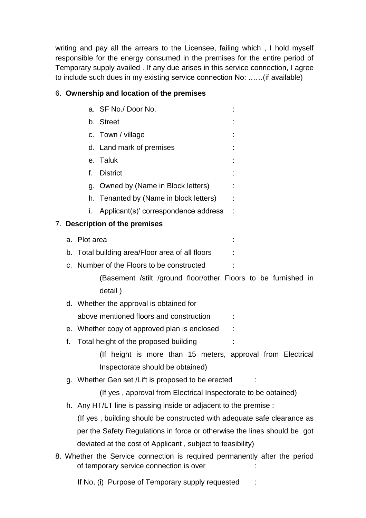writing and pay all the arrears to the Licensee, failing which , I hold myself responsible for the energy consumed in the premises for the entire period of Temporary supply availed . If any due arises in this service connection, I agree to include such dues in my existing service connection No: ……(if available)

# 6. **Ownership and location of the premises** a. SF No./ Door No. : b. Street c. Town / village d. Land mark of premises e. Taluk f. District g. Owned by (Name in Block letters) : h. Tenanted by (Name in block letters)  $\cdot$ : i. Applicant(s)' correspondence address : 7. **Description of the premises** a. Plot area : the state of the state of the state of the state of the state of the state of the state of the state of the state of the state of the state of the state of the state of the state of the state of the state of b. Total building area/Floor area of all floors c. Number of the Floors to be constructed : (Basement /stilt /ground floor/other Floors to be furnished in detail ) d. Whether the approval is obtained for above mentioned floors and construction : e. Whether copy of approved plan is enclosed : f. Total height of the proposed building (If height is more than 15 meters, approval from Electrical Inspectorate should be obtained) g. Whether Gen set / Lift is proposed to be erected (If yes , approval from Electrical Inspectorate to be obtained) h. Any HT/LT line is passing inside or adjacent to the premise : (If yes , building should be constructed with adequate safe clearance as per the Safety Regulations in force or otherwise the lines should be got deviated at the cost of Applicant , subject to feasibility) 8. Whether the Service connection is required permanently after the period of temporary service connection is over :

If No, (i) Purpose of Temporary supply requested :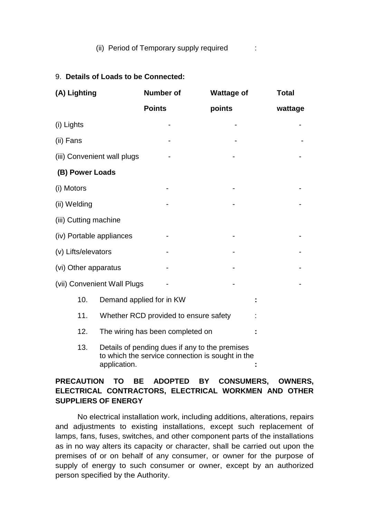#### (ii) Period of Temporary supply required :

#### 9. **Details of Loads to be Connected:**

| (A) Lighting                |                             | <b>Number of</b>                      | <b>Wattage of</b>                                                                                  | <b>Total</b> |
|-----------------------------|-----------------------------|---------------------------------------|----------------------------------------------------------------------------------------------------|--------------|
|                             |                             | <b>Points</b>                         | points                                                                                             | wattage      |
| (i) Lights                  |                             |                                       |                                                                                                    |              |
| (ii) Fans                   |                             |                                       |                                                                                                    |              |
| (iii) Convenient wall plugs |                             |                                       |                                                                                                    |              |
| (B) Power Loads             |                             |                                       |                                                                                                    |              |
| (i) Motors                  |                             |                                       |                                                                                                    |              |
| (ii) Welding                |                             |                                       |                                                                                                    |              |
| (iii) Cutting machine       |                             |                                       |                                                                                                    |              |
| (iv) Portable appliances    |                             |                                       |                                                                                                    |              |
| (v) Lifts/elevators         |                             |                                       |                                                                                                    |              |
| (vi) Other apparatus        |                             |                                       |                                                                                                    |              |
|                             | (vii) Convenient Wall Plugs |                                       |                                                                                                    |              |
| 10.                         |                             | Demand applied for in KW              |                                                                                                    |              |
| 11.                         |                             | Whether RCD provided to ensure safety |                                                                                                    |              |
| 12.                         |                             | The wiring has been completed on      |                                                                                                    |              |
| 13.                         | application.                |                                       | Details of pending dues if any to the premises<br>to which the service connection is sought in the |              |

## **PRECAUTION TO BE ADOPTED BY CONSUMERS, OWNERS, ELECTRICAL CONTRACTORS, ELECTRICAL WORKMEN AND OTHER SUPPLIERS OF ENERGY**

No electrical installation work, including additions, alterations, repairs and adjustments to existing installations, except such replacement of lamps, fans, fuses, switches, and other component parts of the installations as in no way alters its capacity or character, shall be carried out upon the premises of or on behalf of any consumer, or owner for the purpose of supply of energy to such consumer or owner, except by an authorized person specified by the Authority.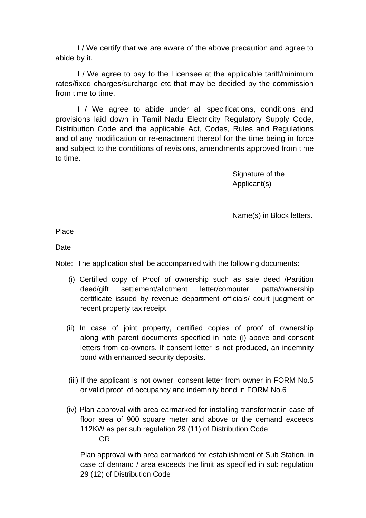I / We certify that we are aware of the above precaution and agree to abide by it.

I / We agree to pay to the Licensee at the applicable tariff/minimum rates/fixed charges/surcharge etc that may be decided by the commission from time to time.

I / We agree to abide under all specifications, conditions and provisions laid down in Tamil Nadu Electricity Regulatory Supply Code, Distribution Code and the applicable Act, Codes, Rules and Regulations and of any modification or re-enactment thereof for the time being in force and subject to the conditions of revisions, amendments approved from time to time.

> Signature of the Applicant(s)

Name(s) in Block letters.

Place

**Date** 

Note: The application shall be accompanied with the following documents:

- (i) Certified copy of Proof of ownership such as sale deed /Partition deed/gift settlement/allotment letter/computer patta/ownership certificate issued by revenue department officials/ court judgment or recent property tax receipt.
- (ii) In case of joint property, certified copies of proof of ownership along with parent documents specified in note (i) above and consent letters from co-owners. If consent letter is not produced, an indemnity bond with enhanced security deposits.
- (iii) If the applicant is not owner, consent letter from owner in FORM No.5 or valid proof of occupancy and indemnity bond in FORM No.6
- (iv) Plan approval with area earmarked for installing transformer,in case of floor area of 900 square meter and above or the demand exceeds 112KW as per sub regulation 29 (11) of Distribution Code OR

Plan approval with area earmarked for establishment of Sub Station, in case of demand / area exceeds the limit as specified in sub regulation 29 (12) of Distribution Code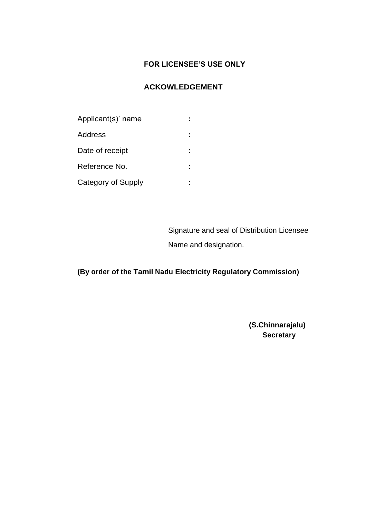#### **FOR LICENSEE'S USE ONLY**

## **ACKOWLEDGEMENT**

| Applicant(s)' name |  |
|--------------------|--|
| Address            |  |
| Date of receipt    |  |
| Reference No.      |  |
| Category of Supply |  |

Signature and seal of Distribution Licensee Name and designation.

## **(By order of the Tamil Nadu Electricity Regulatory Commission)**

 **(S.Chinnarajalu) Secretary**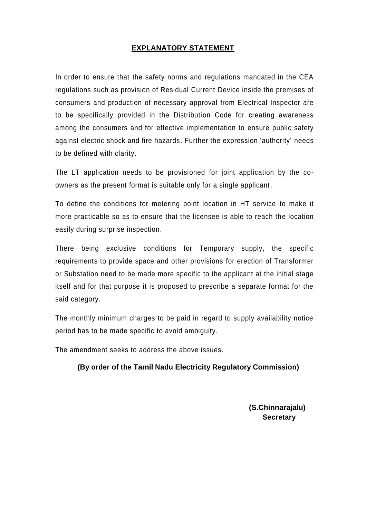## **EXPLANATORY STATEMENT**

In order to ensure that the safety norms and regulations mandated in the CEA regulations such as provision of Residual Current Device inside the premises of consumers and production of necessary approval from Electrical Inspector are to be specifically provided in the Distribution Code for creating awareness among the consumers and for effective implementation to ensure public safety against electric shock and fire hazards. Further the expression 'authority' needs to be defined with clarity.

The LT application needs to be provisioned for joint application by the coowners as the present format is suitable only for a single applicant.

To define the conditions for metering point location in HT service to make it more practicable so as to ensure that the licensee is able to reach the location easily during surprise inspection.

There being exclusive conditions for Temporary supply, the specific requirements to provide space and other provisions for erection of Transformer or Substation need to be made more specific to the applicant at the initial stage itself and for that purpose it is proposed to prescribe a separate format for the said category.

The monthly minimum charges to be paid in regard to supply availability notice period has to be made specific to avoid ambiguity.

The amendment seeks to address the above issues.

#### **(By order of the Tamil Nadu Electricity Regulatory Commission)**

 **(S.Chinnarajalu) Secretary**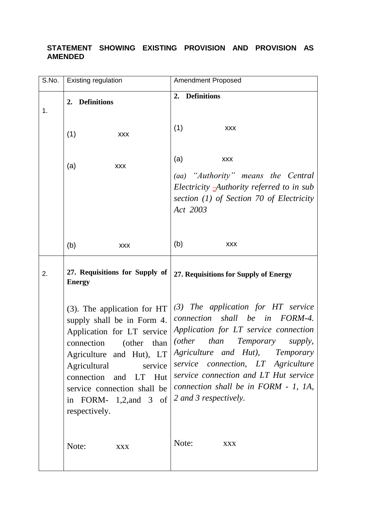| S.No. | <b>Existing regulation</b>                                                                                                                                                                                                                                                     | <b>Amendment Proposed</b>                                                                                                                                                                                                                                                                                                              |
|-------|--------------------------------------------------------------------------------------------------------------------------------------------------------------------------------------------------------------------------------------------------------------------------------|----------------------------------------------------------------------------------------------------------------------------------------------------------------------------------------------------------------------------------------------------------------------------------------------------------------------------------------|
| 1.    | 2. Definitions                                                                                                                                                                                                                                                                 | <b>Definitions</b><br>2.                                                                                                                                                                                                                                                                                                               |
|       | (1)<br><b>XXX</b>                                                                                                                                                                                                                                                              | (1)<br><b>XXX</b>                                                                                                                                                                                                                                                                                                                      |
|       | (a)<br><b>XXX</b>                                                                                                                                                                                                                                                              | (a)<br><b>XXX</b><br>(aa) "Authority" means the Central<br>Electricity - Authority referred to in sub<br>section $(1)$ of Section 70 of Electricity<br>Act 2003                                                                                                                                                                        |
|       | (b)<br><b>XXX</b>                                                                                                                                                                                                                                                              | (b)<br><b>XXX</b>                                                                                                                                                                                                                                                                                                                      |
| 2.    | 27. Requisitions for Supply of<br><b>Energy</b>                                                                                                                                                                                                                                | 27. Requisitions for Supply of Energy                                                                                                                                                                                                                                                                                                  |
|       | (3). The application for HT<br>supply shall be in Form 4.<br>Application for LT service<br>connection<br>(other than<br>Agriculture and Hut), LT<br>Agricultural<br>service<br>connection and LT Hut<br>service connection shall be<br>in FORM- 1,2, and 3 of<br>respectively. | $(3)$ The application for HT service<br>connection shall be in FORM-4.<br>Application for LT service connection<br>(other than<br>Temporary supply,<br>Agriculture and Hut), Temporary<br>service connection, LT Agriculture<br>service connection and LT Hut service<br>connection shall be in FORM - 1, 1A,<br>2 and 3 respectively. |
|       | Note:<br><b>XXX</b>                                                                                                                                                                                                                                                            | Note:<br><b>XXX</b>                                                                                                                                                                                                                                                                                                                    |

## **STATEMENT SHOWING EXISTING PROVISION AND PROVISION AS AMENDED**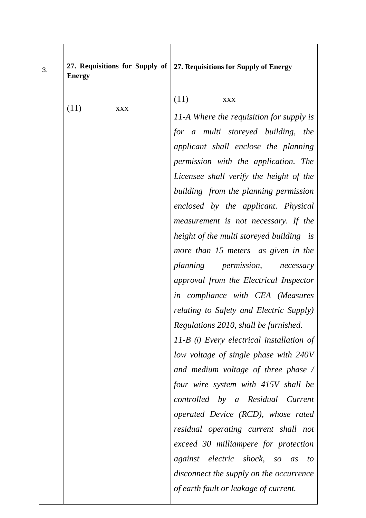| 3. | 27. Requisitions for Supply of<br><b>Energy</b> | 27. Requisitions for Supply of Energy                                        |
|----|-------------------------------------------------|------------------------------------------------------------------------------|
|    |                                                 | (11)<br><b>XXX</b>                                                           |
|    | (11)<br><b>XXX</b>                              | 11-A Where the requisition for supply is                                     |
|    |                                                 | for a multi storeyed building, the                                           |
|    |                                                 | applicant shall enclose the planning                                         |
|    |                                                 | permission with the application. The                                         |
|    |                                                 | Licensee shall verify the height of the                                      |
|    |                                                 | building from the planning permission                                        |
|    |                                                 | enclosed by the applicant. Physical                                          |
|    |                                                 | measurement is not necessary. If the                                         |
|    |                                                 | height of the multi storeyed building is                                     |
|    |                                                 | more than 15 meters as given in the                                          |
|    |                                                 | planning permission, necessary                                               |
|    |                                                 | approval from the Electrical Inspector                                       |
|    |                                                 | in compliance with CEA (Measures                                             |
|    |                                                 | relating to Safety and Electric Supply)                                      |
|    |                                                 | Regulations 2010, shall be furnished.                                        |
|    |                                                 | $11-B$ (i) Every electrical installation of                                  |
|    |                                                 | low voltage of single phase with 240V                                        |
|    |                                                 | and medium voltage of three phase $\sqrt{ }$                                 |
|    |                                                 | four wire system with 415V shall be                                          |
|    |                                                 | controlled by a Residual Current                                             |
|    |                                                 | operated Device (RCD), whose rated                                           |
|    |                                                 | residual operating current shall not<br>exceed 30 milliampere for protection |
|    |                                                 | electric shock,<br>against<br>$\mathfrak{SO}% _{k}(G)$<br>$\iota$<br>as      |
|    |                                                 | disconnect the supply on the occurrence                                      |
|    |                                                 | of earth fault or leakage of current.                                        |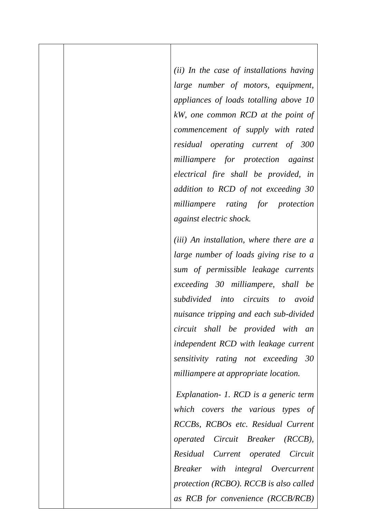*(ii) In the case of installations having large number of motors, equipment, appliances of loads totalling above 10 kW, one common RCD at the point of commencement of supply with rated residual operating current of 300 milliampere for protection against electrical fire shall be provided, in addition to RCD of not exceeding 30 milliampere rating for protection against electric shock.*

*(iii) An installation, where there are a large number of loads giving rise to a sum of permissible leakage currents exceeding 30 milliampere, shall be subdivided into circuits to avoid nuisance tripping and each sub-divided circuit shall be provided with an independent RCD with leakage current sensitivity rating not exceeding 30 milliampere at appropriate location.*

*Explanation- 1. RCD is a generic term which covers the various types of RCCBs, RCBOs etc. Residual Current operated Circuit Breaker (RCCB), Residual Current operated Circuit Breaker with integral Overcurrent protection (RCBO). RCCB is also called as RCB for convenience (RCCB/RCB)*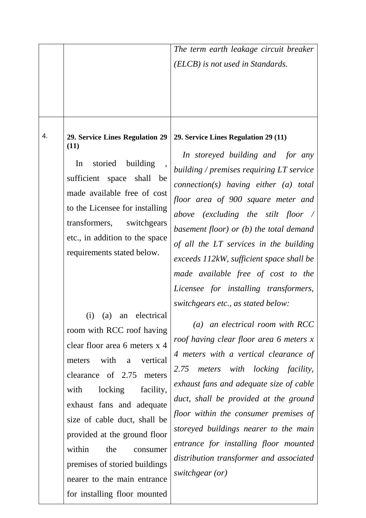|    |                                                                                                                                                                                                                                                                                                                                                                                                                          | The term earth leakage circuit breaker<br>(ELCB) is not used in Standards.                                                                                                                                                                                                                                                                                                                                                                                                                                                                   |
|----|--------------------------------------------------------------------------------------------------------------------------------------------------------------------------------------------------------------------------------------------------------------------------------------------------------------------------------------------------------------------------------------------------------------------------|----------------------------------------------------------------------------------------------------------------------------------------------------------------------------------------------------------------------------------------------------------------------------------------------------------------------------------------------------------------------------------------------------------------------------------------------------------------------------------------------------------------------------------------------|
| 4. | 29. Service Lines Regulation 29<br>(11)<br>storied building<br>In<br>sufficient space shall be<br>made available free of cost<br>to the Licensee for installing<br>switchgears<br>transformers,<br>etc., in addition to the space<br>requirements stated below.                                                                                                                                                          | 29. Service Lines Regulation 29 (11)<br>In storeyed building and for any<br>building / premises requiring $LT$ service<br>$connection(s)$ having either (a) total<br>floor area of 900 square meter and<br>above (excluding the stilt floor /<br>basement floor) or (b) the total demand<br>of all the LT services in the building<br>exceeds 112kW, sufficient space shall be<br>made available free of cost to the                                                                                                                         |
|    | electrical<br>(i)<br>(a)<br>an<br>room with RCC roof having<br>clear floor area 6 meters x 4<br>with<br>vertical<br>meters<br>a<br>clearance of 2.75<br>meters<br>locking<br>facility,<br>with<br>exhaust fans and adequate<br>size of cable duct, shall be<br>provided at the ground floor<br>within<br>the<br>consumer<br>premises of storied buildings<br>nearer to the main entrance<br>for installing floor mounted | Licensee for installing transformers,<br>switchgears etc., as stated below:<br>an electrical room with RCC<br>$\left( a\right)$<br>roof having clear floor area 6 meters x<br>4 meters with a vertical clearance of<br>with locking facility,<br>2.75<br>meters<br>exhaust fans and adequate size of cable<br>duct, shall be provided at the ground<br>floor within the consumer premises of<br>storeyed buildings nearer to the main<br>entrance for installing floor mounted<br>distribution transformer and associated<br>switchgear (or) |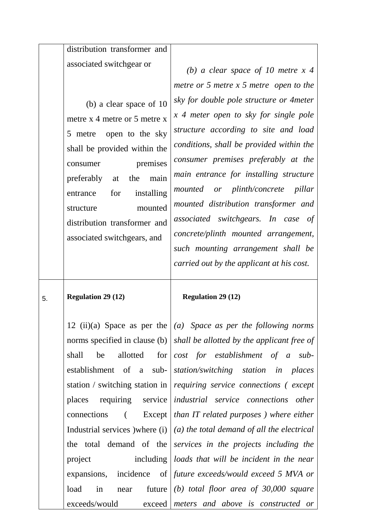|    | distribution transformer and                                                                                                                                                                                                                                                  |                                                                                                                                                                                                                                                                                                                                                                                                                                                             |
|----|-------------------------------------------------------------------------------------------------------------------------------------------------------------------------------------------------------------------------------------------------------------------------------|-------------------------------------------------------------------------------------------------------------------------------------------------------------------------------------------------------------------------------------------------------------------------------------------------------------------------------------------------------------------------------------------------------------------------------------------------------------|
|    | associated switchgear or<br>(b) a clear space of $10$                                                                                                                                                                                                                         | (b) a clear space of 10 metre $x$ 4<br>metre or 5 metre $x$ 5 metre open to the<br>sky for double pole structure or 4 meter                                                                                                                                                                                                                                                                                                                                 |
|    | metre x 4 metre or 5 metre x<br>open to the sky<br>5 metre<br>shall be provided within the<br>premises<br>consumer<br>preferably<br>the<br>main<br>at<br>installing<br>for<br>entrance<br>mounted<br>structure<br>distribution transformer and<br>associated switchgears, and | x 4 meter open to sky for single pole<br>structure according to site and load<br>conditions, shall be provided within the<br>consumer premises preferably at the<br>main entrance for installing structure<br>or plinth/concrete pillar<br>mounted<br>mounted distribution transformer and<br>associated switchgears. In case of<br>concrete/plinth mounted arrangement,<br>such mounting arrangement shall be<br>carried out by the applicant at his cost. |
| 5. | <b>Regulation 29 (12)</b>                                                                                                                                                                                                                                                     | <b>Regulation 29 (12)</b>                                                                                                                                                                                                                                                                                                                                                                                                                                   |
|    |                                                                                                                                                                                                                                                                               |                                                                                                                                                                                                                                                                                                                                                                                                                                                             |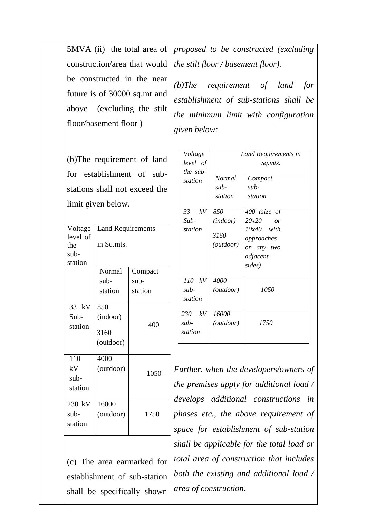5MVA (ii) the total area of construction/area that would be constructed in the near future is of 30000 sq.mt and above (excluding the stilt floor/basement floor )

(b)The requirement of land for establishment of substations shall not exceed the limit given below.

| Voltage                      | <b>Land Requirements</b>             |         |
|------------------------------|--------------------------------------|---------|
| level of<br>the              | in Sq.mts.                           |         |
| $sub-$                       |                                      |         |
| station                      |                                      |         |
|                              | Normal                               | Compact |
|                              | sub-                                 | sub-    |
|                              | station                              | station |
| 33 kV<br>Sub-<br>station     | 850<br>(indoor)<br>3160<br>(outdoor) | 400     |
| 110<br>kV<br>sub-<br>station | 4000<br>(outdoor)                    | 1050    |
| 230 kV<br>$sub-$<br>station  | 16000<br>(outdoor)                   | 1750    |
|                              |                                      |         |

(c) The area earmarked for establishment of sub-station shall be specifically shown *proposed to be constructed (excluding the stilt floor / basement floor).*

*(b)The requirement of land for establishment of sub-stations shall be the minimum limit with configuration given below:* 

| Voltage   | Land Requirements in |              |
|-----------|----------------------|--------------|
| level of  | Sq.mts.              |              |
| the sub-  |                      |              |
| station   | <b>Normal</b>        | Compact      |
|           | $sub-$               | $sub-$       |
|           | station              | station      |
|           |                      |              |
| 33<br>kV  | 850                  | 400 (size of |
| $Sub-$    | (indoor)             | 20x20<br>or  |
| station   |                      | $10x40$ with |
|           | 3160                 | approaches   |
|           | ( <i>outdoor</i> )   |              |
|           |                      | on any two   |
|           |                      | adjacent     |
|           |                      | sides)       |
|           |                      |              |
| 110 kV    | 4000                 |              |
| $sub-$    | ( <i>outdoor</i> )   | 1050         |
| station   |                      |              |
|           |                      |              |
| 230<br>kV | 16000                |              |
| $sub-$    | ( <i>outdoor</i> )   | 1750         |
| station   |                      |              |
|           |                      |              |

*Further, when the developers/owners of the premises apply for additional load / develops additional constructions in phases etc., the above requirement of space for establishment of sub-station shall be applicable for the total load or total area of construction that includes both the existing and additional load / area of construction.*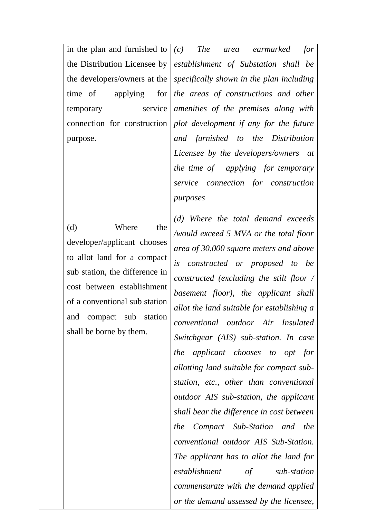in the plan and furnished to the Distribution Licensee by the developers/owners at the time of applying for temporary service connection for construction purpose.

(d) Where the developer/applicant chooses to allot land for a compact sub station, the difference in cost between establishment of a conventional sub station and compact sub station shall be borne by them.

*(c) The area earmarked for establishment of Substation shall be specifically shown in the plan including the areas of constructions and other amenities of the premises along with plot development if any for the future and furnished to the Distribution Licensee by the developers/owners at the time of applying for temporary service connection for construction purposes*

*(d) Where the total demand exceeds /would exceed 5 MVA or the total floor area of 30,000 square meters and above is constructed or proposed to be constructed (excluding the stilt floor / basement floor), the applicant shall allot the land suitable for establishing a conventional outdoor Air Insulated Switchgear (AIS) sub-station. In case the applicant chooses to opt for allotting land suitable for compact substation, etc., other than conventional outdoor AIS sub-station, the applicant shall bear the difference in cost between the Compact Sub-Station and the conventional outdoor AIS Sub-Station. The applicant has to allot the land for establishment of sub-station commensurate with the demand applied or the demand assessed by the licensee,*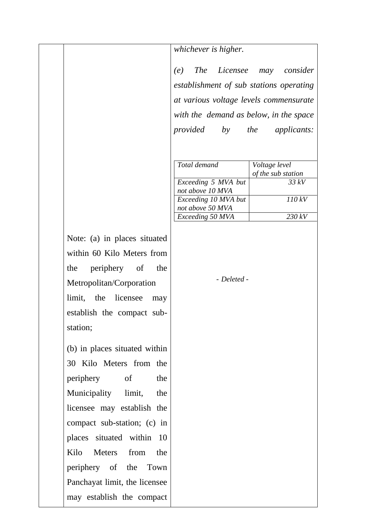|                               | whichever is higher.                             |
|-------------------------------|--------------------------------------------------|
|                               | The Licensee may consider<br>(e)                 |
|                               | establishment of sub stations operating          |
|                               | at various voltage levels commensurate           |
|                               | with the demand as below, in the space           |
|                               | by the<br>provided<br><i>applicants:</i>         |
|                               |                                                  |
|                               | Total demand                                     |
|                               | Voltage level<br>of the sub station              |
|                               | Exceeding 5 MVA but<br>33 kV<br>not above 10 MVA |
|                               | Exceeding 10 MVA but<br>110 kV                   |
|                               | not above 50 MVA                                 |
|                               | 230 kV<br>Exceeding 50 MVA                       |
| Note: (a) in places situated  |                                                  |
| within 60 Kilo Meters from    |                                                  |
| periphery of<br>the<br>the    |                                                  |
| Metropolitan/Corporation      | - Deleted -                                      |
| limit, the licensee<br>may    |                                                  |
| establish the compact sub-    |                                                  |
| station;                      |                                                  |
| (b) in places situated within |                                                  |
| 30 Kilo Meters from the       |                                                  |
| periphery<br>of<br>the        |                                                  |
| Municipality limit,<br>the    |                                                  |
| licensee may establish the    |                                                  |
| compact sub-station; (c) in   |                                                  |
| places situated within 10     |                                                  |
| Kilo Meters from<br>the       |                                                  |
| periphery of the Town         |                                                  |
| Panchayat limit, the licensee |                                                  |
| may establish the compact     |                                                  |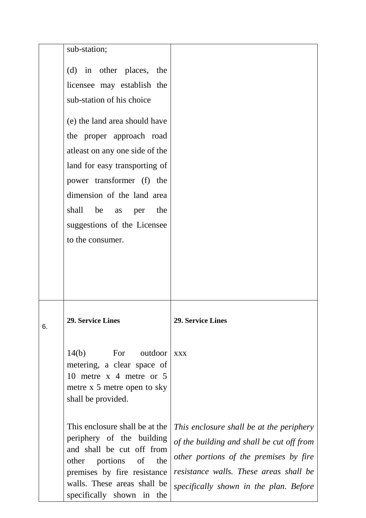|    | sub-station;                                                |                                                                                  |
|----|-------------------------------------------------------------|----------------------------------------------------------------------------------|
|    | (d) in other places, the                                    |                                                                                  |
|    | licensee may establish the                                  |                                                                                  |
|    | sub-station of his choice                                   |                                                                                  |
|    | (e) the land area should have                               |                                                                                  |
|    | the proper approach road                                    |                                                                                  |
|    | at least on any one side of the                             |                                                                                  |
|    | land for easy transporting of                               |                                                                                  |
|    | power transformer (f) the                                   |                                                                                  |
|    | dimension of the land area                                  |                                                                                  |
|    | shall<br>be as<br>the<br>per                                |                                                                                  |
|    | suggestions of the Licensee                                 |                                                                                  |
|    | to the consumer.                                            |                                                                                  |
|    |                                                             |                                                                                  |
|    |                                                             |                                                                                  |
|    |                                                             |                                                                                  |
|    |                                                             |                                                                                  |
| 6. | <b>29. Service Lines</b>                                    | <b>29. Service Lines</b>                                                         |
|    |                                                             |                                                                                  |
|    | 14(b)<br>For<br>outdoor                                     | <b>XXX</b>                                                                       |
|    | metering, a clear space of<br>10 metre x 4 metre or 5       |                                                                                  |
|    | metre x 5 metre open to sky                                 |                                                                                  |
|    | shall be provided.                                          |                                                                                  |
|    |                                                             |                                                                                  |
|    | This enclosure shall be at the<br>periphery of the building | This enclosure shall be at the periphery                                         |
|    | and shall be cut off from                                   | of the building and shall be cut off from                                        |
|    | portions<br>the<br>of<br>other                              | other portions of the premises by fire<br>resistance walls. These areas shall be |
|    | premises by fire resistance<br>walls. These areas shall be  | specifically shown in the plan. Before                                           |
|    | specifically shown in the                                   |                                                                                  |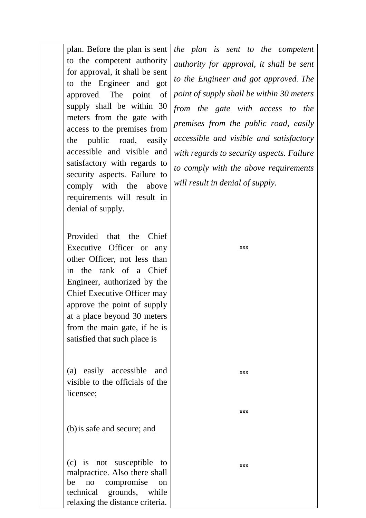plan. Before the plan is sent to the competent authority for approval, it shall be sent to the Engineer and got approved. The point of supply shall be within 30 meters from the gate with access to the premises from the public road, easily accessible and visible and satisfactory with regards to security aspects. Failure to comply with the above requirements will result in denial of supply.

Provided that the Chief Executive Officer or any other Officer, not less than in the rank of a Chief Engineer, authorized by the Chief Executive Officer may approve the point of supply at a place beyond 30 meters from the main gate, if he is satisfied that such place is

(a) easily accessible and visible to the officials of the licensee;

(b)is safe and secure; and

(c) is not susceptible to malpractice. Also there shall be no compromise on technical grounds, while relaxing the distance criteria.

*the plan is sent to the competent authority for approval, it shall be sent to the Engineer and got approved*. *The point of supply shall be within 30 meters from the gate with access to the premises from the public road, easily accessible and visible and satisfactory with regards to security aspects. Failure to comply with the above requirements will result in denial of supply.*

xxx

xxx

xxx

xxx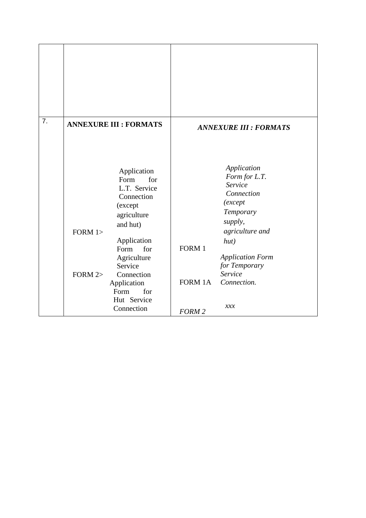| 7. | <b>ANNEXURE III : FORMATS</b>                                                                                                                                                                                                                           | <b>ANNEXURE III : FORMATS</b>                                                                                                                                                                                                              |
|----|---------------------------------------------------------------------------------------------------------------------------------------------------------------------------------------------------------------------------------------------------------|--------------------------------------------------------------------------------------------------------------------------------------------------------------------------------------------------------------------------------------------|
|    | Application<br>Form<br>for<br>L.T. Service<br>Connection<br>(except<br>agriculture<br>and hut)<br>FORM $1$<br>Application<br>Form<br>for<br>Agriculture<br>Service<br>FORM $2$<br>Connection<br>Application<br>for<br>Form<br>Hut Service<br>Connection | Application<br>Form for L.T.<br>Service<br>Connection<br>(except<br>Temporary<br>supply,<br>agriculture and<br>hut)<br>FORM 1<br><b>Application Form</b><br>for Temporary<br>Service<br>FORM 1A<br>Connection.<br>xxx<br>FORM <sub>2</sub> |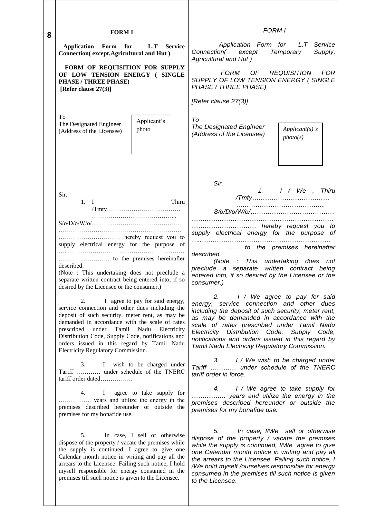| <b>FORM I</b><br>8<br>Application Form for L.T Service<br>Connection(except, Agricultural and Hut)<br>FORM OF REQUISITION FOR SUPPLY<br>OF LOW TENSION ENERGY ( SINGLE<br>PHASE / THREE PHASE)<br>[Refer clause 27(3)]<br>To<br>Applicant's<br>The Designated Engineer<br>photo<br>(Address of the Licensee)                                                                                                                                                                                                                                                                                                                                                                                                                                                                                                                                                                                                                                                                                                                                                                                                                                                                                                                                                  | <b>FORM I</b><br>Application Form for L.T Service<br>Connection(except Temporary<br>Supply,<br>Agricultural and Hut)<br>FORM OF<br>REQUISITION FOR<br>SUPPLY OF LOW TENSION ENERGY (SINGLE<br>PHASE / THREE PHASE)<br>[Refer clause 27(3)]<br>To<br><b>The Designated Engineer</b><br>$Applicant(s)$ 's<br>(Address of the Licensee)<br>photo(s)                                                                                                                                                                                                                                                                                                                                                                                                                                                                                                                                                                                                                                                                                                                                                                                                                                                                                                                             |
|---------------------------------------------------------------------------------------------------------------------------------------------------------------------------------------------------------------------------------------------------------------------------------------------------------------------------------------------------------------------------------------------------------------------------------------------------------------------------------------------------------------------------------------------------------------------------------------------------------------------------------------------------------------------------------------------------------------------------------------------------------------------------------------------------------------------------------------------------------------------------------------------------------------------------------------------------------------------------------------------------------------------------------------------------------------------------------------------------------------------------------------------------------------------------------------------------------------------------------------------------------------|------------------------------------------------------------------------------------------------------------------------------------------------------------------------------------------------------------------------------------------------------------------------------------------------------------------------------------------------------------------------------------------------------------------------------------------------------------------------------------------------------------------------------------------------------------------------------------------------------------------------------------------------------------------------------------------------------------------------------------------------------------------------------------------------------------------------------------------------------------------------------------------------------------------------------------------------------------------------------------------------------------------------------------------------------------------------------------------------------------------------------------------------------------------------------------------------------------------------------------------------------------------------------|
| Sir,<br>$1. \quad I$<br>Thiru<br>supply electrical energy for the purpose of<br>described.<br>(Note : This undertaking does not preclude a<br>separate written contract being entered into, if so<br>desired by the Licensee or the consumer.)<br>2. I agree to pay for said energy,<br>service connection and other dues including the<br>deposit of such security, meter rent, as may be<br>demanded in accordance with the scale of rates<br>prescribed under Tamil Nadu Electricity<br>Distribution Code, Supply Code, notifications and<br>orders issued in this regard by Tamil Nadu<br>Electricity Regulatory Commission.<br>I wish to be charged under<br>3.<br>Tariff  under schedule of the TNERC<br>tariff order dated<br>I agree to take supply for<br>4.<br>years and utilize the energy in the<br>premises described hereunder or outside the<br>premises for my bonafide use.<br>In case, I sell or otherwise<br>5.<br>dispose of the property / vacate the premises while<br>the supply is continued, I agree to give one<br>Calendar month notice in writing and pay all the<br>arrears to the Licensee. Failing such notice, I hold<br>myself responsible for energy consumed in the<br>premises till such notice is given to the Licensee. | Sir,<br>supply electrical energy for the purpose of<br>described.<br>(Note : This undertaking does not<br>preclude a separate written contract being<br>entered into, if so desired by the Licensee or the<br>consumer.)<br>2. I / We agree to pay for said<br>energy, service connection and other dues<br>including the deposit of such security, meter rent,<br>as may be demanded in accordance with the<br>scale of rates prescribed under Tamil Nadu<br>Electricity Distribution Code, Supply Code,<br>notifications and orders issued in this regard by<br>Tamil Nadu Electricity Regulatory Commission.<br>3. I / We wish to be charged under<br>Tariff  under schedule of the TNERC<br>tariff order in force.<br>4. I / We agree to take supply for<br>years and utilize the energy in the<br>premises described hereunder or outside the<br>premises for my bonafide use.<br>In case, I/We sell or otherwise<br>5.<br>dispose of the property / vacate the premises<br>while the supply is continued, I/We agree to give<br>one Calendar month notice in writing and pay all<br>the arrears to the Licensee. Failing such notice, I<br>/We hold myself /ourselves responsible for energy<br>consumed in the premises till such notice is given<br>to the Licensee. |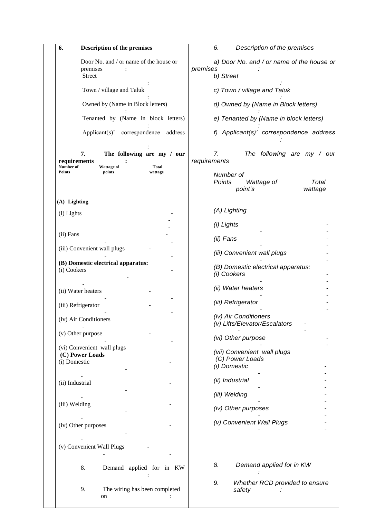| 6.<br><b>Description of the premises</b>                                             | 6.<br>Description of the premises                      |
|--------------------------------------------------------------------------------------|--------------------------------------------------------|
| Door No. and / or name of the house or                                               | a) Door No. and / or name of the house or              |
| premises                                                                             | premises                                               |
| Street                                                                               | b) Street                                              |
| Town / village and Taluk                                                             | c) Town / village and Taluk                            |
| Owned by (Name in Block letters)                                                     | d) Owned by (Name in Block letters)                    |
| Tenanted by (Name in block letters)                                                  | e) Tenanted by (Name in block letters)                 |
| Applicant(s)' correspondence<br>address                                              | f) Applicant(s)' correspondence address                |
| 7.<br>The following are my / our                                                     | 7.<br>The following are my / our                       |
| requirements                                                                         | requirements                                           |
| Number of<br><b>Wattage of</b><br><b>Total</b><br><b>Points</b><br>points<br>wattage | Number of                                              |
|                                                                                      | Points<br>Wattage of<br>Total<br>point's<br>wattage    |
| (A) Lighting                                                                         |                                                        |
| (i) Lights                                                                           | (A) Lighting                                           |
|                                                                                      | (i) Lights                                             |
| (ii) Fans                                                                            | (ii) Fans                                              |
| (iii) Convenient wall plugs                                                          | (iii) Convenient wall plugs                            |
| (B) Domestic electrical apparatus:<br>(i) Cookers                                    | (B) Domestic electrical apparatus:<br>(i) Cookers      |
| (ii) Water heaters                                                                   | (ii) Water heaters                                     |
|                                                                                      | (iii) Refrigerator                                     |
| (iii) Refrigerator                                                                   |                                                        |
| (iv) Air Conditioners                                                                | (iv) Air Conditioners<br>(v) Lifts/Elevator/Escalators |
| (v) Other purpose                                                                    | (vi) Other purpose                                     |
| (vi) Convenient wall plugs                                                           | (vii) Convenient wall plugs                            |
| (C) Power Loads<br>(i) Domestic                                                      | (C) Power Loads                                        |
|                                                                                      | (i) Domestic                                           |
| (ii) Industrial                                                                      | (ii) Industrial                                        |
|                                                                                      | (iii) Welding                                          |
| (iii) Welding                                                                        |                                                        |
|                                                                                      | (iv) Other purposes                                    |
| (iv) Other purposes                                                                  | (v) Convenient Wall Plugs                              |
|                                                                                      |                                                        |
|                                                                                      |                                                        |
| (v) Convenient Wall Plugs                                                            |                                                        |
| 8.<br>Demand applied for in KW                                                       | 8.<br>Demand applied for in KW                         |
| 9.<br>The wiring has been completed                                                  | 9.<br>Whether RCD provided to ensure<br>safety         |
| on                                                                                   |                                                        |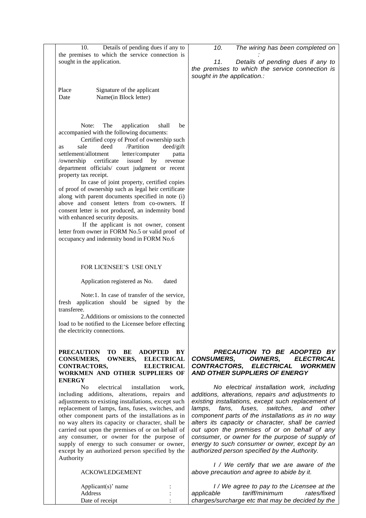| Details of pending dues if any to<br>10.<br>the premises to which the service connection is                                                                                                                                                                                                                                                                                                                                                                                                                                                                                                                                                                                                                                                                                                                               | 10.<br>The wiring has been completed on<br>11.<br>Details of pending dues if any to                                                                                                                                                                                                                                                                                                                                                                                                                                               |
|---------------------------------------------------------------------------------------------------------------------------------------------------------------------------------------------------------------------------------------------------------------------------------------------------------------------------------------------------------------------------------------------------------------------------------------------------------------------------------------------------------------------------------------------------------------------------------------------------------------------------------------------------------------------------------------------------------------------------------------------------------------------------------------------------------------------------|-----------------------------------------------------------------------------------------------------------------------------------------------------------------------------------------------------------------------------------------------------------------------------------------------------------------------------------------------------------------------------------------------------------------------------------------------------------------------------------------------------------------------------------|
| sought in the application.                                                                                                                                                                                                                                                                                                                                                                                                                                                                                                                                                                                                                                                                                                                                                                                                | the premises to which the service connection is<br>sought in the application.:                                                                                                                                                                                                                                                                                                                                                                                                                                                    |
| Place<br>Signature of the applicant<br>Name(in Block letter)<br>Date                                                                                                                                                                                                                                                                                                                                                                                                                                                                                                                                                                                                                                                                                                                                                      |                                                                                                                                                                                                                                                                                                                                                                                                                                                                                                                                   |
| The<br>Note:<br>application<br>shall<br>be<br>accompanied with the following documents:<br>Certified copy of Proof of ownership such<br>deed<br>/Partition<br>deed/gift<br>sale<br>as<br>settlement/allotment<br>letter/computer<br>patta<br>issued by<br>certificate<br>revenue<br>/ownership<br>department officials/ court judgment or recent<br>property tax receipt.<br>In case of joint property, certified copies<br>of proof of ownership such as legal heir certificate<br>along with parent documents specified in note (i)<br>above and consent letters from co-owners. If<br>consent letter is not produced, an indemnity bond<br>with enhanced security deposits.<br>If the applicant is not owner, consent<br>letter from owner in FORM No.5 or valid proof of<br>occupancy and indemnity bond in FORM No.6 |                                                                                                                                                                                                                                                                                                                                                                                                                                                                                                                                   |
| FOR LICENSEE'S USE ONLY                                                                                                                                                                                                                                                                                                                                                                                                                                                                                                                                                                                                                                                                                                                                                                                                   |                                                                                                                                                                                                                                                                                                                                                                                                                                                                                                                                   |
| Application registered as No.<br>dated                                                                                                                                                                                                                                                                                                                                                                                                                                                                                                                                                                                                                                                                                                                                                                                    |                                                                                                                                                                                                                                                                                                                                                                                                                                                                                                                                   |
| Note:1. In case of transfer of the service,<br>fresh application should be signed by the<br>transferee.<br>2. Additions or omissions to the connected<br>load to be notified to the Licensee before effecting<br>the electricity connections.                                                                                                                                                                                                                                                                                                                                                                                                                                                                                                                                                                             |                                                                                                                                                                                                                                                                                                                                                                                                                                                                                                                                   |
| <b>PRECAUTION</b><br>TO BE<br><b>ADOPTED</b><br><b>BY</b><br><b>ELECTRICAL</b><br><b>CONSUMERS,</b><br><b>OWNERS,</b><br><b>ELECTRICAL</b><br><b>CONTRACTORS,</b><br>WORKMEN AND OTHER SUPPLIERS OF<br><b>ENERGY</b>                                                                                                                                                                                                                                                                                                                                                                                                                                                                                                                                                                                                      | PRECAUTION TO BE ADOPTED BY<br><b>OWNERS,</b><br><b>ELECTRICAL</b><br><b>CONSUMERS,</b><br><b>CONTRACTORS.</b><br><b>ELECTRICAL</b><br><b>WORKMEN</b><br><b>AND OTHER SUPPLIERS OF ENERGY</b>                                                                                                                                                                                                                                                                                                                                     |
| N <sub>o</sub><br>electrical<br>installation<br>work.<br>including additions, alterations, repairs and<br>adjustments to existing installations, except such<br>replacement of lamps, fans, fuses, switches, and<br>other component parts of the installations as in<br>no way alters its capacity or character, shall be<br>carried out upon the premises of or on behalf of<br>any consumer, or owner for the purpose of<br>supply of energy to such consumer or owner,<br>except by an authorized person specified by the<br>Authority                                                                                                                                                                                                                                                                                 | No electrical installation work, including<br>additions, alterations, repairs and adjustments to<br>existing installations, except such replacement of<br>fuses,<br>switches,<br>lamps,<br>fans,<br>and<br>other<br>component parts of the installations as in no way<br>alters its capacity or character, shall be carried<br>out upon the premises of or on behalf of any<br>consumer, or owner for the purpose of supply of<br>energy to such consumer or owner, except by an<br>authorized person specified by the Authority. |
| <b>ACKOWLEDGEMENT</b>                                                                                                                                                                                                                                                                                                                                                                                                                                                                                                                                                                                                                                                                                                                                                                                                     | I / We certify that we are aware of the<br>above precaution and agree to abide by it.                                                                                                                                                                                                                                                                                                                                                                                                                                             |
| Applicant(s)' name<br>Address                                                                                                                                                                                                                                                                                                                                                                                                                                                                                                                                                                                                                                                                                                                                                                                             | I/We agree to pay to the Licensee at the<br>tariff/minimum<br>applicable<br>rates/fixed                                                                                                                                                                                                                                                                                                                                                                                                                                           |

*charges/surcharge etc that may be decided by the* 

Date of receipt :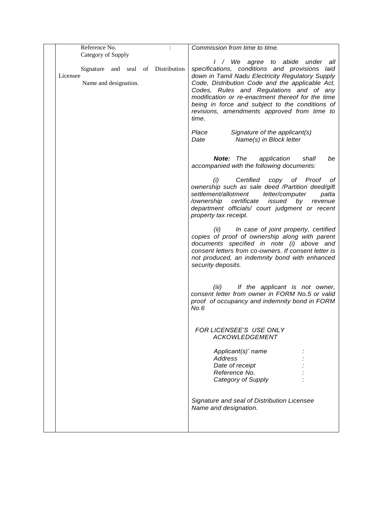| Commission from time to time.                                                                                                                                                                                                                                                                                                                                                                       |
|-----------------------------------------------------------------------------------------------------------------------------------------------------------------------------------------------------------------------------------------------------------------------------------------------------------------------------------------------------------------------------------------------------|
|                                                                                                                                                                                                                                                                                                                                                                                                     |
| I / We agree to abide under all<br>specifications, conditions and provisions laid<br>down in Tamil Nadu Electricity Regulatory Supply<br>Code, Distribution Code and the applicable Act,<br>Codes, Rules and Regulations and of any<br>modification or re-enactment thereof for the time<br>being in force and subject to the conditions of<br>revisions, amendments approved from time to<br>time. |
| Place<br>Signature of the applicant(s)<br>Name(s) in Block letter<br>Date                                                                                                                                                                                                                                                                                                                           |
| <b>Note:</b> The<br>application<br>shall<br>be<br>accompanied with the following documents:                                                                                                                                                                                                                                                                                                         |
| Certified copy of Proof<br>(i)<br>оt<br>ownership such as sale deed /Partition deed/gift<br>settlement/allotment<br>letter/computer<br>patta<br>certificate<br>issued<br>by<br>revenue<br>/ownership<br>department officials/ court judgment or recent<br>property tax receipt.                                                                                                                     |
| In case of joint property, certified<br>(ii)<br>copies of proof of ownership along with parent<br>documents specified in note (i) above and<br>consent letters from co-owners. If consent letter is<br>not produced, an indemnity bond with enhanced<br>security deposits.                                                                                                                          |
| If the applicant is not owner,<br>(iii)<br>consent letter from owner in FORM No.5 or valid<br>proof of occupancy and indemnity bond in FORM<br>No.6                                                                                                                                                                                                                                                 |
| FOR LICENSEE'S USE ONLY<br><b>ACKOWLEDGEMENT</b>                                                                                                                                                                                                                                                                                                                                                    |
| Applicant(s)' name<br>Address<br>Date of receipt<br>Reference No.<br>Category of Supply                                                                                                                                                                                                                                                                                                             |
| Signature and seal of Distribution Licensee<br>Name and designation.                                                                                                                                                                                                                                                                                                                                |
|                                                                                                                                                                                                                                                                                                                                                                                                     |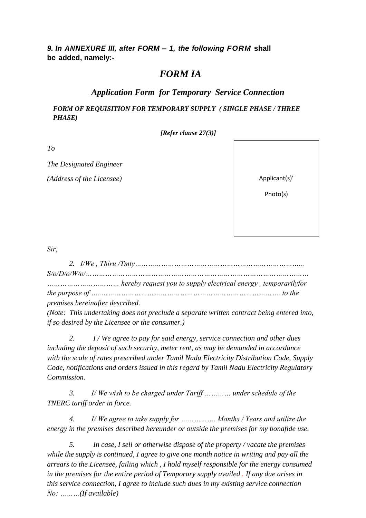#### *9. In ANNEXURE III, after FORM – 1, the following FORM* **shall be added, namely:-**

## *FORM IA*

#### *Application Form for Temporary Service Connection*

#### *FORM OF REQUISITION FOR TEMPORARY SUPPLY ( SINGLE PHASE / THREE PHASE)*

 *[Refer clause 27(3)]*

*To*

*The Designated Engineer* 

*(Address of the Licensee)*

Applicant(s)' Photo(s)

*Sir,*

| premises hereinafter described. |  |
|---------------------------------|--|

*(Note: This undertaking does not preclude a separate written contract being entered into, if so desired by the Licensee or the consumer.)*

*2. I / We agree to pay for said energy, service connection and other dues including the deposit of such security, meter rent, as may be demanded in accordance with the scale of rates prescribed under Tamil Nadu Electricity Distribution Code, Supply Code, notifications and orders issued in this regard by Tamil Nadu Electricity Regulatory Commission.*

*3. I/ We wish to be charged under Tariff ………… under schedule of the TNERC tariff order in force.*

*4. I/ We agree to take supply for ……………. Months / Years and utilize the energy in the premises described hereunder or outside the premises for my bonafide use.*

*5. In case, I sell or otherwise dispose of the property / vacate the premises while the supply is continued, I agree to give one month notice in writing and pay all the arrears to the Licensee, failing which , I hold myself responsible for the energy consumed in the premises for the entire period of Temporary supply availed . If any due arises in this service connection, I agree to include such dues in my existing service connection No: ………(If available)*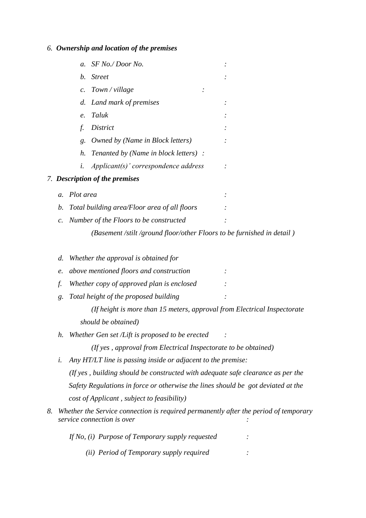#### *6. Ownership and location of the premises*

| $\mathfrak{a}$ .               | SF No./Door No.                                                        |  |
|--------------------------------|------------------------------------------------------------------------|--|
| <b>Street</b><br>b.            |                                                                        |  |
| $c_{\cdot}$                    | Town / village                                                         |  |
|                                | d. Land mark of premises                                               |  |
| Taluk<br>$\mathbf{e}$ .        |                                                                        |  |
| District<br>f.                 |                                                                        |  |
| g.                             | Owned by (Name in Block letters)                                       |  |
| h.                             | Tenanted by (Name in block letters) :                                  |  |
| i.                             | Applicant(s)' correspondence address                                   |  |
| 7. Description of the premises |                                                                        |  |
| a. Plot area                   |                                                                        |  |
| b.                             | Total building area/Floor area of all floors                           |  |
| $\mathcal{C}$ .                | Number of the Floors to be constructed                                 |  |
|                                | (Basement /stilt /ground floor/other Floors to be furnished in detail) |  |

*d. Whether the approval is obtained for e. above mentioned floors and construction : f. Whether copy of approved plan is enclosed : g. Total height of the proposed building : (If height is more than 15 meters, approval from Electrical Inspectorate should be obtained) h. Whether Gen set /Lift is proposed to be erected : (If yes , approval from Electrical Inspectorate to be obtained)*

- *i. Any HT/LT line is passing inside or adjacent to the premise: (If yes , building should be constructed with adequate safe clearance as per the Safety Regulations in force or otherwise the lines should be got deviated at the cost of Applicant , subject to feasibility)*
- *8. Whether the Service connection is required permanently after the period of temporary service connection is over :*

| If No, (i) Purpose of Temporary supply requested |  |
|--------------------------------------------------|--|
| (ii) Period of Temporary supply required         |  |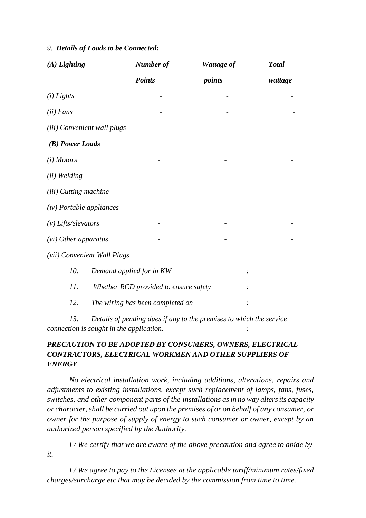#### *9. Details of Loads to be Connected:*

| $(A)$ Lighting              | Number of                             | Wattage of | <b>Total</b> |
|-----------------------------|---------------------------------------|------------|--------------|
|                             | <b>Points</b>                         | points     | wattage      |
| $(i)$ Lights                |                                       |            |              |
| $(ii)$ Fans                 |                                       |            |              |
| (iii) Convenient wall plugs |                                       |            |              |
| (B) Power Loads             |                                       |            |              |
| $(i)$ Motors                |                                       |            |              |
| (ii) Welding                |                                       |            |              |
| (iii) Cutting machine       |                                       |            |              |
| (iv) Portable appliances    |                                       |            |              |
| $(v)$ Lifts/elevators       |                                       |            |              |
| (vi) Other apparatus        |                                       |            |              |
| (vii) Convenient Wall Plugs |                                       |            |              |
| 10.                         | Demand applied for in KW              |            |              |
| 11.                         | Whether RCD provided to ensure safety |            |              |
| 12.                         | The wiring has been completed on      |            |              |

*13. Details of pending dues if any to the premises to which the service connection is sought in the application. :*

## *PRECAUTION TO BE ADOPTED BY CONSUMERS, OWNERS, ELECTRICAL CONTRACTORS, ELECTRICAL WORKMEN AND OTHER SUPPLIERS OF ENERGY*

*No electrical installation work, including additions, alterations, repairs and adjustments to existing installations, except such replacement of lamps, fans, fuses, switches, and other component parts of the installations asin noway altersits capacity or character,shall be carried out upon the premises of or on behalf of any consumer, or owner for the purpose of supply of energy to such consumer or owner, except by an authorized person specified by the Authority.*

*I / We certify that we are aware of the above precaution and agree to abide by it.*

*I / We agree to pay to the Licensee at the applicable tariff/minimum rates/fixed charges/surcharge etc that may be decided by the commission from time to time.*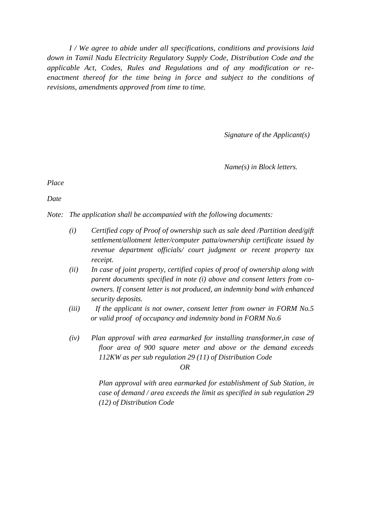*I / We agree to abide under all specifications, conditions and provisions laid down in Tamil Nadu Electricity Regulatory Supply Code, Distribution Code and the applicable Act, Codes, Rules and Regulations and of any modification or reenactment thereof for the time being in force and subject to the conditions of revisions, amendments approved from time to time.*

*Signature of the Applicant(s)*

*Name(s) in Block letters.*

*Place*

*Date*

*Note: The application shall be accompanied with the following documents:*

- *(i) Certified copy of Proof of ownership such as sale deed /Partition deed/gift settlement/allotment letter/computer patta/ownership certificate issued by revenue department officials/ court judgment or recent property tax receipt.*
- *(ii) In case of joint property, certified copies of proof of ownership along with parent documents specified in note (i) above and consent letters from coowners. If consent letter is not produced, an indemnity bond with enhanced security deposits.*
- *(iii) If the applicant is not owner, consent letter from owner in FORM No.5 or valid proof of occupancy and indemnity bond in FORM No.6*
- *(iv) Plan approval with area earmarked for installing transformer,in case of floor area of 900 square meter and above or the demand exceeds 112KW as per sub regulation 29 (11) of Distribution Code*

*OR*

*Plan approval with area earmarked for establishment of Sub Station, in case of demand / area exceeds the limit as specified in sub regulation 29 (12) of Distribution Code*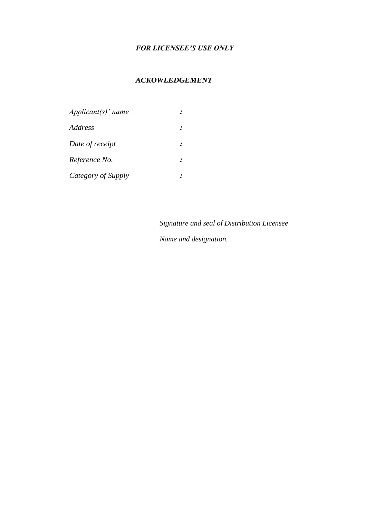## *FOR LICENSEE'S USE ONLY*

## *ACKOWLEDGEMENT*

| $Applicant(s)'$ name |  |
|----------------------|--|
| Address              |  |
| Date of receipt      |  |
| Reference No.        |  |
| Category of Supply   |  |

*Signature and seal of Distribution Licensee Name and designation.*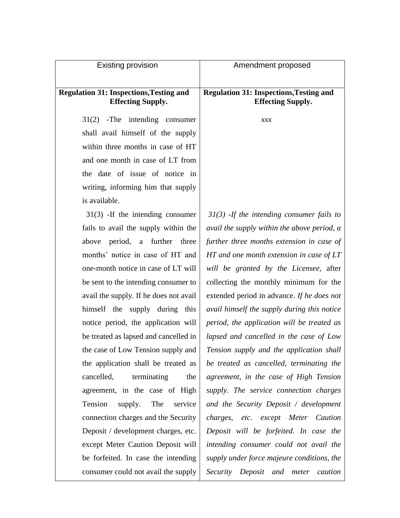| <b>Existing provision</b>                                                  | Amendment proposed                                                         |
|----------------------------------------------------------------------------|----------------------------------------------------------------------------|
| <b>Regulation 31: Inspections, Testing and</b><br><b>Effecting Supply.</b> | <b>Regulation 31: Inspections, Testing and</b><br><b>Effecting Supply.</b> |
| $31(2)$ -The intending consumer                                            | xxx                                                                        |
| shall avail himself of the supply                                          |                                                                            |
| within three months in case of HT                                          |                                                                            |
| and one month in case of LT from                                           |                                                                            |
| the date of issue of notice in                                             |                                                                            |
| writing, informing him that supply                                         |                                                                            |
| is available.                                                              |                                                                            |
| $31(3)$ -If the intending consumer                                         | $31(3)$ -If the intending consumer fails to                                |
| fails to avail the supply within the                                       | avail the supply within the above period, a                                |
| above period, a further three                                              | further three months extension in case of                                  |
| months' notice in case of HT and                                           | $HT$ and one month extension in case of $LT$                               |
| one-month notice in case of LT will                                        | will be granted by the Licensee, after                                     |
| be sent to the intending consumer to                                       | collecting the monthly minimum for the                                     |
| avail the supply. If he does not avail                                     | extended period in advance. If he does not                                 |
| himself the supply during this                                             | avail himself the supply during this notice                                |
| notice period, the application will                                        | period, the application will be treated as                                 |
| be treated as lapsed and cancelled in                                      | lapsed and cancelled in the case of Low                                    |
| the case of Low Tension supply and                                         | Tension supply and the application shall                                   |
| the application shall be treated as                                        | be treated as cancelled, terminating the                                   |
| terminating<br>cancelled,<br>the                                           | agreement, in the case of High Tension                                     |
| agreement, in the case of High                                             | supply. The service connection charges                                     |
| Tension<br>The<br>service<br>supply.                                       | and the Security Deposit / development                                     |
| connection charges and the Security                                        | charges, etc. except Meter Caution                                         |
| Deposit / development charges, etc.                                        | Deposit will be forfeited. In case the                                     |
| except Meter Caution Deposit will                                          | intending consumer could not avail the                                     |
| be forfeited. In case the intending                                        | supply under force majeure conditions, the                                 |
| consumer could not avail the supply                                        | Security<br>Deposit and meter<br>caution                                   |